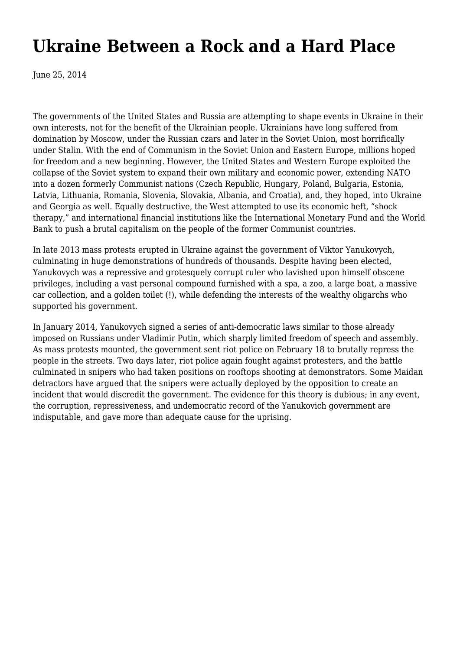# **[Ukraine Between a Rock and a Hard Place](https://newpol.org/issue_post/ukraine-between-rock-and-hard-place/)**

June 25, 2014

The governments of the United States and Russia are attempting to shape events in Ukraine in their own interests, not for the benefit of the Ukrainian people. Ukrainians have long suffered from domination by Moscow, under the Russian czars and later in the Soviet Union, most horrifically under Stalin. With the end of Communism in the Soviet Union and Eastern Europe, millions hoped for freedom and a new beginning. However, the United States and Western Europe exploited the collapse of the Soviet system to expand their own military and economic power, extending NATO into a dozen formerly Communist nations (Czech Republic, Hungary, Poland, Bulgaria, Estonia, Latvia, Lithuania, Romania, Slovenia, Slovakia, Albania, and Croatia), and, they hoped, into Ukraine and Georgia as well. Equally destructive, the West attempted to use its economic heft, "shock therapy," and international financial institutions like the International Monetary Fund and the World Bank to push a brutal capitalism on the people of the former Communist countries.

In late 2013 mass protests erupted in Ukraine against the government of Viktor Yanukovych, culminating in huge demonstrations of hundreds of thousands. Despite having been elected, Yanukovych was a repressive and grotesquely corrupt ruler who lavished upon himself obscene privileges, including a vast personal compound furnished with a spa, a zoo, a large boat, a massive car collection, and a golden toilet (!), while defending the interests of the wealthy oligarchs who supported his government.

In January 2014, Yanukovych signed a series of anti-democratic laws similar to those already imposed on Russians under Vladimir Putin, which sharply limited freedom of speech and assembly. As mass protests mounted, the government sent riot police on February 18 to brutally repress the people in the streets. Two days later, riot police again fought against protesters, and the battle culminated in snipers who had taken positions on rooftops shooting at demonstrators. Some Maidan detractors have argued that the snipers were actually deployed by the opposition to create an incident that would discredit the government. The evidence for this theory is dubious; in any event, the corruption, repressiveness, and undemocratic record of the Yanukovich government are indisputable, and gave more than adequate cause for the uprising.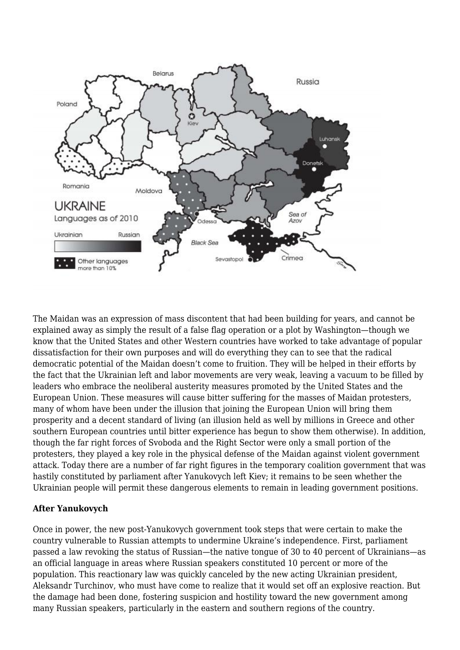

The Maidan was an expression of mass discontent that had been building for years, and cannot be explained away as simply the result of a false flag operation or a plot by Washington—though we know that the United States and other Western countries have worked to take advantage of popular dissatisfaction for their own purposes and will do everything they can to see that the radical democratic potential of the Maidan doesn't come to fruition. They will be helped in their efforts by the fact that the Ukrainian left and labor movements are very weak, leaving a vacuum to be filled by leaders who embrace the neoliberal austerity measures promoted by the United States and the European Union. These measures will cause bitter suffering for the masses of Maidan protesters, many of whom have been under the illusion that joining the European Union will bring them prosperity and a decent standard of living (an illusion held as well by millions in Greece and other southern European countries until bitter experience has begun to show them otherwise). In addition, though the far right forces of Svoboda and the Right Sector were only a small portion of the protesters, they played a key role in the physical defense of the Maidan against violent government attack. Today there are a number of far right figures in the temporary coalition government that was hastily constituted by parliament after Yanukovych left Kiev; it remains to be seen whether the Ukrainian people will permit these dangerous elements to remain in leading government positions.

### **After Yanukovych**

Once in power, the new post-Yanukovych government took steps that were certain to make the country vulnerable to Russian attempts to undermine Ukraine's independence. First, parliament passed a law revoking the status of Russian—the native tongue of 30 to 40 percent of Ukrainians—as an official language in areas where Russian speakers constituted 10 percent or more of the population. This reactionary law was quickly canceled by the new acting Ukrainian president, Aleksandr Turchinov, who must have come to realize that it would set off an explosive reaction. But the damage had been done, fostering suspicion and hostility toward the new government among many Russian speakers, particularly in the eastern and southern regions of the country.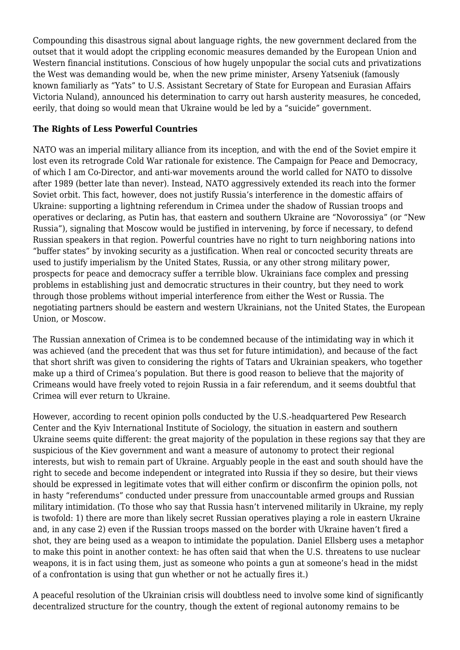Compounding this disastrous signal about language rights, the new government declared from the outset that it would adopt the crippling economic measures demanded by the European Union and Western financial institutions. Conscious of how hugely unpopular the social cuts and privatizations the West was demanding would be, when the new prime minister, Arseny Yatseniuk (famously known familiarly as "Yats" to U.S. Assistant Secretary of State for European and Eurasian Affairs Victoria Nuland), announced his determination to carry out harsh austerity measures, he conceded, eerily, that doing so would mean that Ukraine would be led by a "suicide" government.

#### **The Rights of Less Powerful Countries**

NATO was an imperial military alliance from its inception, and with the end of the Soviet empire it lost even its retrograde Cold War rationale for existence. The Campaign for Peace and Democracy, of which I am Co-Director, and anti-war movements around the world called for NATO to dissolve after 1989 (better late than never). Instead, NATO aggressively extended its reach into the former Soviet orbit. This fact, however, does not justify Russia's interference in the domestic affairs of Ukraine: supporting a lightning referendum in Crimea under the shadow of Russian troops and operatives or declaring, as Putin has, that eastern and southern Ukraine are "Novorossiya" (or "New Russia"), signaling that Moscow would be justified in intervening, by force if necessary, to defend Russian speakers in that region. Powerful countries have no right to turn neighboring nations into "buffer states" by invoking security as a justification. When real or concocted security threats are used to justify imperialism by the United States, Russia, or any other strong military power, prospects for peace and democracy suffer a terrible blow. Ukrainians face complex and pressing problems in establishing just and democratic structures in their country, but they need to work through those problems without imperial interference from either the West or Russia. The negotiating partners should be eastern and western Ukrainians, not the United States, the European Union, or Moscow.

The Russian annexation of Crimea is to be condemned because of the intimidating way in which it was achieved (and the precedent that was thus set for future intimidation), and because of the fact that short shrift was given to considering the rights of Tatars and Ukrainian speakers, who together make up a third of Crimea's population. But there is good reason to believe that the majority of Crimeans would have freely voted to rejoin Russia in a fair referendum, and it seems doubtful that Crimea will ever return to Ukraine.

However, according to recent opinion polls conducted by the U.S.-headquartered Pew Research Center and the Kyiv International Institute of Sociology, the situation in eastern and southern Ukraine seems quite different: the great majority of the population in these regions say that they are suspicious of the Kiev government and want a measure of autonomy to protect their regional interests, but wish to remain part of Ukraine. Arguably people in the east and south should have the right to secede and become independent or integrated into Russia if they so desire, but their views should be expressed in legitimate votes that will either confirm or disconfirm the opinion polls, not in hasty "referendums" conducted under pressure from unaccountable armed groups and Russian military intimidation. (To those who say that Russia hasn't intervened militarily in Ukraine, my reply is twofold: 1) there are more than likely secret Russian operatives playing a role in eastern Ukraine and, in any case 2) even if the Russian troops massed on the border with Ukraine haven't fired a shot, they are being used as a weapon to intimidate the population. Daniel Ellsberg uses a metaphor to make this point in another context: he has often said that when the U.S. threatens to use nuclear weapons, it is in fact using them, just as someone who points a gun at someone's head in the midst of a confrontation is using that gun whether or not he actually fires it.)

A peaceful resolution of the Ukrainian crisis will doubtless need to involve some kind of significantly decentralized structure for the country, though the extent of regional autonomy remains to be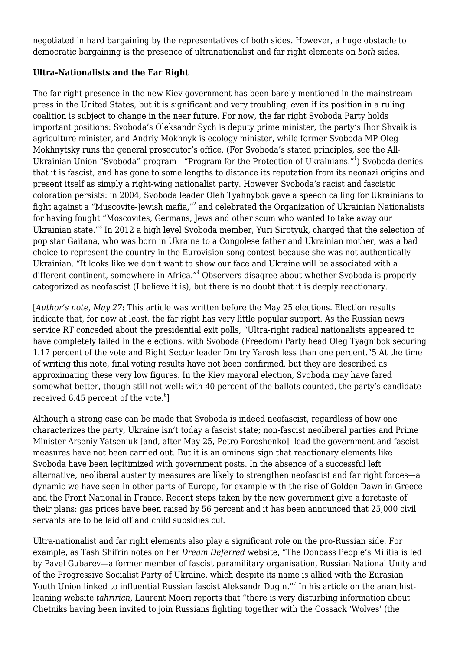negotiated in hard bargaining by the representatives of both sides. However, a huge obstacle to democratic bargaining is the presence of ultranationalist and far right elements on *both* sides.

### **Ultra-Nationalists and the Far Right**

The far right presence in the new Kiev government has been barely mentioned in the mainstream press in the United States, but it is significant and very troubling, even if its position in a ruling coalition is subject to change in the near future. For now, the far right Svoboda Party holds important positions: Svoboda's Oleksandr Sych is deputy prime minister, the party's Ihor Shvaik is agriculture minister, and Andriy Mokhnyk is ecology minister, while former Svoboda MP Oleg Mokhnytsky runs the general prosecutor's office. (For Svoboda's stated principles, see the All-Ukrainian Union "Svoboda" program—"Program for the Protection of Ukrainians."<sup>1</sup>) Svoboda denies that it is fascist, and has gone to some lengths to distance its reputation from its neonazi origins and present itself as simply a right-wing nationalist party. However Svoboda's racist and fascistic coloration persists: in 2004, Svoboda leader Oleh Tyahnybok gave a speech calling for Ukrainians to fight against a "Muscovite-Jewish mafia," $^{\rm 2}$  and celebrated the Organization of Ukrainian Nationalists for having fought "Moscovites, Germans, Jews and other scum who wanted to take away our Ukrainian state."<sup>3</sup> In 2012 a high level Svoboda member, Yuri Sirotyuk, charged that the selection of pop star Gaitana, who was born in Ukraine to a Congolese father and Ukrainian mother, was a bad choice to represent the country in the Eurovision song contest because she was not authentically Ukrainian. "It looks like we don't want to show our face and Ukraine will be associated with a different continent, somewhere in Africa."<sup>4</sup> Observers disagree about whether Svoboda is properly categorized as neofascist (I believe it is), but there is no doubt that it is deeply reactionary.

[*Author's note, May 27*: This article was written before the May 25 elections. Election results indicate that, for now at least, the far right has very little popular support. As the Russian news service RT conceded about the presidential exit polls, "Ultra-right radical nationalists appeared to have completely failed in the elections, with Svoboda (Freedom) Party head Oleg Tyagnibok securing 1.17 percent of the vote and Right Sector leader Dmitry Yarosh less than one percent."5 At the time of writing this note, final voting results have not been confirmed, but they are described as approximating these very low figures. In the Kiev mayoral election, Svoboda may have fared somewhat better, though still not well: with 40 percent of the ballots counted, the party's candidate received 6.45 percent of the vote. $^6$ ]

Although a strong case can be made that Svoboda is indeed neofascist, regardless of how one characterizes the party, Ukraine isn't today a fascist state; non-fascist neoliberal parties and Prime Minister Arseniy Yatseniuk [and, after May 25, Petro Poroshenko] lead the government and fascist measures have not been carried out. But it is an ominous sign that reactionary elements like Svoboda have been legitimized with government posts. In the absence of a successful left alternative, neoliberal austerity measures are likely to strengthen neofascist and far right forces—a dynamic we have seen in other parts of Europe, for example with the rise of Golden Dawn in Greece and the Front National in France. Recent steps taken by the new government give a foretaste of their plans: gas prices have been raised by 56 percent and it has been announced that 25,000 civil servants are to be laid off and child subsidies cut.

Ultra-nationalist and far right elements also play a significant role on the pro-Russian side. For example, as Tash Shifrin notes on her *Dream Deferred* website, "The Donbass People's Militia is led by Pavel Gubarev—a former member of fascist paramilitary organisation, Russian National Unity and of the Progressive Socialist Party of Ukraine, which despite its name is allied with the Eurasian Youth Union linked to influential Russian fascist Aleksandr Dugin."<sup>7</sup> In his article on the anarchistleaning website *tahriricn*, Laurent Moeri reports that "there is very disturbing information about Chetniks having been invited to join Russians fighting together with the Cossack 'Wolves' (the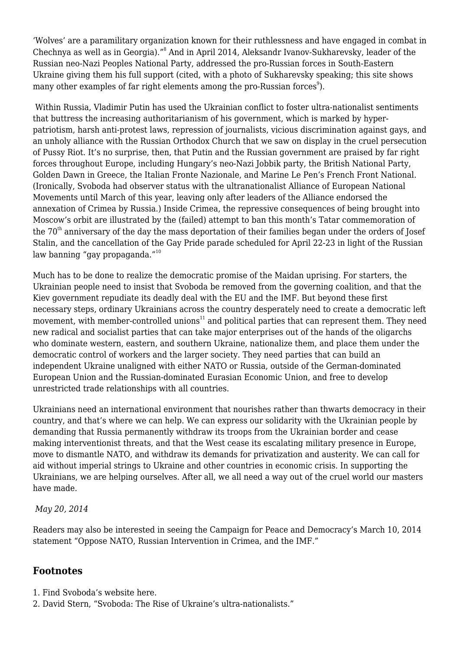'Wolves' are a paramilitary organization known for their ruthlessness and have engaged in combat in Chechnya as well as in Georgia)."<sup>8</sup> And in April 2014, Aleksandr Ivanov-Sukharevsky, leader of the Russian neo-Nazi Peoples National Party, addressed the pro-Russian forces in South-Eastern Ukraine giving them his full support (cited, with a photo of Sukharevsky speaking; this site shows many other examples of far right elements among the pro-Russian forces $^{\circ}$ ).

Within Russia, Vladimir Putin has used the Ukrainian conflict to foster ultra-nationalist sentiments that buttress the increasing authoritarianism of his government, which is marked by hyperpatriotism, harsh anti-protest laws, repression of journalists, vicious discrimination against gays, and an unholy alliance with the Russian Orthodox Church that we saw on display in the cruel persecution of Pussy Riot. It's no surprise, then, that Putin and the Russian government are praised by far right forces throughout Europe, including Hungary's neo-Nazi Jobbik party, the British National Party, Golden Dawn in Greece, the Italian Fronte Nazionale, and Marine Le Pen's French Front National. (Ironically, Svoboda had observer status with the ultranationalist Alliance of European National Movements until March of this year, leaving only after leaders of the Alliance endorsed the annexation of Crimea by Russia.) Inside Crimea, the repressive consequences of being brought into Moscow's orbit are illustrated by the (failed) attempt to ban this month's Tatar commemoration of the 70<sup>th</sup> anniversary of the day the mass deportation of their families began under the orders of Josef Stalin, and the cancellation of the Gay Pride parade scheduled for April 22-23 in light of the Russian law banning "gay propaganda."<sup>10</sup>

Much has to be done to realize the democratic promise of the Maidan uprising. For starters, the Ukrainian people need to insist that Svoboda be removed from the governing coalition, and that the Kiev government repudiate its deadly deal with the EU and the IMF. But beyond these first necessary steps, ordinary Ukrainians across the country desperately need to create a democratic left movement, with member-controlled unions $11$  and political parties that can represent them. They need new radical and socialist parties that can take major enterprises out of the hands of the oligarchs who dominate western, eastern, and southern Ukraine, nationalize them, and place them under the democratic control of workers and the larger society. They need parties that can build an independent Ukraine unaligned with either NATO or Russia, outside of the German-dominated European Union and the Russian-dominated Eurasian Economic Union, and free to develop unrestricted trade relationships with all countries.

Ukrainians need an international environment that nourishes rather than thwarts democracy in their country, and that's where we can help. We can express our solidarity with the Ukrainian people by demanding that Russia permanently withdraw its troops from the Ukrainian border and cease making interventionist threats, and that the West cease its escalating military presence in Europe, move to dismantle NATO, and withdraw its demands for privatization and austerity. We can call for aid without imperial strings to Ukraine and other countries in economic crisis. In supporting the Ukrainians, we are helping ourselves. After all, we all need a way out of the cruel world our masters have made.

### *May 20, 2014*

Readers may also be interested in seeing the Campaign for Peace and Democracy's March 10, 2014 statement ["Oppose NATO, Russian Intervention in Crimea, and the IMF](http://www.cpdweb.org/letters/Ukraine.shtml)."

## **Footnotes**

- 1. Find Svoboda's website [here.](http://en.svoboda.org.ua/about/program/)
- 2. David Stern, ["Svoboda: The Rise of Ukraine's ultra-nationalists](http://www.bbc.com/news/magazine-20824693)."